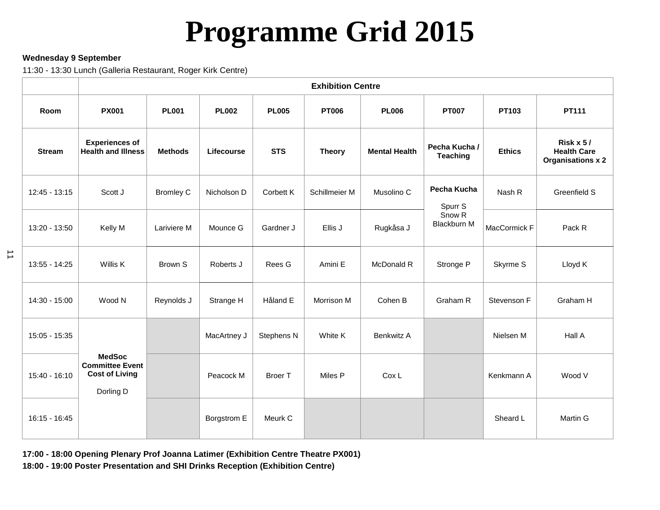# **Programme Grid 2015**

#### **Wednesday 9 September**

11:30 - 13:30 Lunch (Galleria Restaurant, Roger Kirk Centre)

|                 | <b>Exhibition Centre</b>                                                      |                  |              |                |               |                      |                                  |               |                                                               |
|-----------------|-------------------------------------------------------------------------------|------------------|--------------|----------------|---------------|----------------------|----------------------------------|---------------|---------------------------------------------------------------|
| Room            | <b>PX001</b>                                                                  | <b>PL001</b>     | <b>PL002</b> | <b>PL005</b>   | <b>PT006</b>  | <b>PL006</b>         | <b>PT007</b>                     | PT103         | PT111                                                         |
| <b>Stream</b>   | <b>Experiences of</b><br><b>Health and Illness</b>                            | <b>Methods</b>   | Lifecourse   | <b>STS</b>     | <b>Theory</b> | <b>Mental Health</b> | Pecha Kucha /<br><b>Teaching</b> | <b>Ethics</b> | Risk $x 5/$<br><b>Health Care</b><br><b>Organisations x 2</b> |
| $12:45 - 13:15$ | Scott J                                                                       | <b>Bromley C</b> | Nicholson D  | Corbett K      | Schillmeier M | Musolino C           | Pecha Kucha<br>Spurr S           | Nash R        | Greenfield S                                                  |
| 13:20 - 13:50   | Kelly M                                                                       | Lariviere M      | Mounce G     | Gardner J      | Ellis J       | Rugkåsa J            | Snow <sub>R</sub><br>Blackburn M | MacCormick F  | Pack R                                                        |
| 13:55 - 14:25   | Willis K                                                                      | Brown S          | Roberts J    | Rees G         | Amini E       | McDonald R           | Stronge P                        | Skyrme S      | Lloyd K                                                       |
| 14:30 - 15:00   | Wood N                                                                        | Reynolds J       | Strange H    | Håland E       | Morrison M    | Cohen B              | Graham R                         | Stevenson F   | Graham H                                                      |
| 15:05 - 15:35   |                                                                               |                  | MacArtney J  | Stephens N     | White K       | Benkwitz A           |                                  | Nielsen M     | Hall A                                                        |
| 15:40 - 16:10   | <b>MedSoc</b><br><b>Committee Event</b><br><b>Cost of Living</b><br>Dorling D |                  | Peacock M    | <b>Broer T</b> | Miles P       | Cox L                |                                  | Kenkmann A    | Wood V                                                        |
| $16:15 - 16:45$ |                                                                               |                  | Borgstrom E  | Meurk C        |               |                      |                                  | Sheard L      | Martin G                                                      |

**17:00 - 18:00 Opening Plenary Prof Joanna Latimer (Exhibition Centre Theatre PX001) 18:00 - 19:00 Poster Presentation and SHI Drinks Reception (Exhibition Centre)**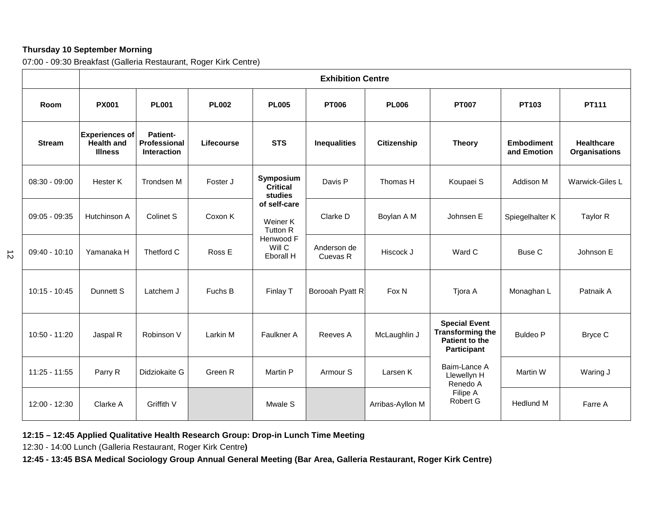## **Thursday 10 September Morning**

 $\vec{v}$ 

07:00 - 09:30 Breakfast (Galleria Restaurant, Roger Kirk Centre)

|                 | <b>Exhibition Centre</b>                                     |                                                       |            |                                         |                         |                  |                                                                                  |                                  |                                           |
|-----------------|--------------------------------------------------------------|-------------------------------------------------------|------------|-----------------------------------------|-------------------------|------------------|----------------------------------------------------------------------------------|----------------------------------|-------------------------------------------|
| Room            | <b>PX001</b>                                                 | <b>PL001</b><br><b>PL002</b>                          |            | <b>PL005</b>                            | <b>PT006</b>            | <b>PL006</b>     | <b>PT007</b>                                                                     | PT103                            | PT111                                     |
| <b>Stream</b>   | <b>Experiences of</b><br><b>Health and</b><br><b>Illness</b> | <b>Patient-</b><br>Professional<br><b>Interaction</b> | Lifecourse | <b>STS</b>                              | <b>Inequalities</b>     | Citizenship      | <b>Theory</b>                                                                    | <b>Embodiment</b><br>and Emotion | <b>Healthcare</b><br><b>Organisations</b> |
| $08:30 - 09:00$ | Hester K                                                     | <b>Trondsen M</b>                                     | Foster J   | Symposium<br><b>Critical</b><br>studies | Davis P                 | Thomas H         | Koupaei S                                                                        | Addison M                        | Warwick-Giles L                           |
| $09:05 - 09:35$ | Hutchinson A                                                 | Colinet S                                             | Coxon K    | of self-care<br>Weiner K<br>Tutton R    | Clarke D                | Boylan A M       | Johnsen E                                                                        | Spiegelhalter K                  | Taylor R                                  |
| $09:40 - 10:10$ | Yamanaka H                                                   | Thetford C                                            | Ross E     | Henwood F<br>Will C<br>Eborall H        | Anderson de<br>Cuevas R | Hiscock J        | Ward C                                                                           | Buse C                           | Johnson E                                 |
| $10:15 - 10:45$ | Dunnett S                                                    | Latchem J                                             | Fuchs B    | Finlay T                                | Borooah Pyatt R         | Fox N            | Tjora A                                                                          | Monaghan L                       | Patnaik A                                 |
| 10:50 - 11:20   | Jaspal R                                                     | Robinson V                                            | Larkin M   | Faulkner A                              | Reeves A                | McLaughlin J     | <b>Special Event</b><br><b>Transforming the</b><br>Patient to the<br>Participant | <b>Buldeo P</b>                  | Bryce C                                   |
| 11:25 - 11:55   | Parry R                                                      | Didziokaite G                                         | Green R    | <b>Martin P</b>                         | Armour <sub>S</sub>     | Larsen K         | Baim-Lance A<br>Llewellyn H<br>Renedo A                                          | Martin W                         | Waring J                                  |
| 12:00 - 12:30   | Clarke A                                                     | Griffith V                                            |            | Mwale S                                 |                         | Arribas-Ayllon M | Filipe A<br>Robert G                                                             | <b>Hedlund M</b>                 | Farre A                                   |

**12:15 – 12:45 Applied Qualitative Health Research Group: Drop-in Lunch Time Meeting**

12:30 - 14:00 Lunch (Galleria Restaurant, Roger Kirk Centre**)**

**12:45 - 13:45 BSA Medical Sociology Group Annual General Meeting (Bar Area, Galleria Restaurant, Roger Kirk Centre)**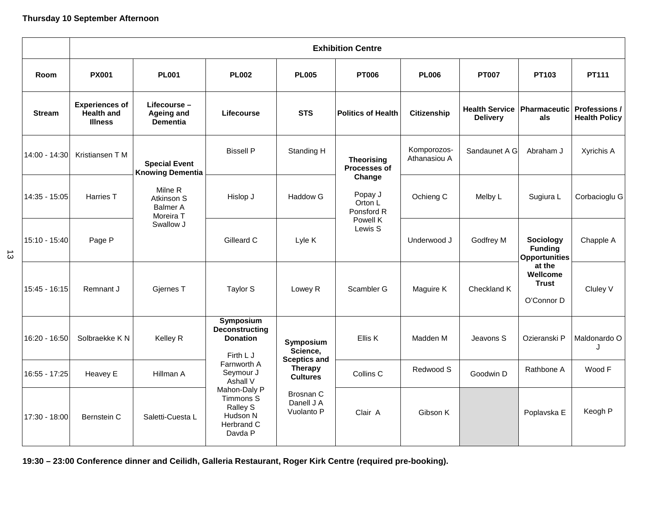## **Thursday 10 September Afternoon**

|               | <b>Exhibition Centre</b>                                     |                                                       |                                                                                                           |                                                                                                                            |                                            |                             |                                          |                                                     |                                              |  |
|---------------|--------------------------------------------------------------|-------------------------------------------------------|-----------------------------------------------------------------------------------------------------------|----------------------------------------------------------------------------------------------------------------------------|--------------------------------------------|-----------------------------|------------------------------------------|-----------------------------------------------------|----------------------------------------------|--|
| Room          | <b>PX001</b>                                                 | <b>PL001</b>                                          | <b>PL002</b>                                                                                              | <b>PL005</b>                                                                                                               | <b>PT006</b>                               | <b>PL006</b>                | <b>PT007</b>                             | <b>PT103</b>                                        | PT111                                        |  |
| <b>Stream</b> | <b>Experiences of</b><br><b>Health and</b><br><b>Illness</b> | Lifecourse -<br>Ageing and<br><b>Dementia</b>         | Lifecourse                                                                                                | <b>STS</b>                                                                                                                 | <b>Politics of Health</b>                  | <b>Citizenship</b>          | <b>Health Service</b><br><b>Delivery</b> | <b>Pharmaceutic</b><br>als                          | <b>Professions /</b><br><b>Health Policy</b> |  |
| 14:00 - 14:30 | Kristiansen T M                                              | <b>Special Event</b><br><b>Knowing Dementia</b>       | <b>Bissell P</b>                                                                                          | Standing H                                                                                                                 | <b>Theorising</b><br>Processes of          | Komporozos-<br>Athanasiou A | Sandaunet A G                            | Abraham J                                           | Xyrichis A                                   |  |
| 14:35 - 15:05 | Harries T                                                    | Milne R<br>Atkinson S<br><b>Balmer A</b><br>Moreira T | Hislop J                                                                                                  | <b>Haddow G</b>                                                                                                            | Change<br>Popay J<br>Orton L<br>Ponsford R | Ochieng C                   | Melby L                                  | Sugiura L                                           | Corbacioglu G                                |  |
| 15:10 - 15:40 | Page P                                                       | Swallow J                                             | Gilleard C                                                                                                | Lyle K                                                                                                                     | Powell K<br>Lewis S                        | Underwood J                 | Godfrey M                                | Sociology<br><b>Funding</b><br><b>Opportunities</b> | Chapple A                                    |  |
| 15:45 - 16:15 | Remnant J                                                    | Gjernes T                                             | Taylor S                                                                                                  | Lowey R                                                                                                                    | Scambler G                                 | Maguire K                   | Checkland K                              | at the<br>Wellcome<br><b>Trust</b><br>O'Connor D    | Cluley V                                     |  |
| 16:20 - 16:50 | Solbraekke K N                                               | Kelley R                                              | Symposium<br><b>Deconstructing</b><br><b>Donation</b><br>Firth LJ<br>Farnworth A<br>Seymour J<br>Ashall V | Symposium<br>Science,<br><b>Sceptics and</b><br><b>Therapy</b><br><b>Cultures</b><br>Brosnan C<br>Danell J A<br>Vuolanto P | Ellis K                                    | Madden M                    | Jeavons S                                | Ozieranski P                                        | Maldonardo O<br>J                            |  |
| 16:55 - 17:25 | Heavey E                                                     | Hillman A                                             |                                                                                                           |                                                                                                                            | Collins C                                  | Redwood S                   | Goodwin D                                | Rathbone A                                          | Wood F                                       |  |
| 17:30 - 18:00 | Bernstein C                                                  | Saletti-Cuesta L                                      | Mahon-Daly P<br>Timmons S<br>Ralley S<br>Hudson N<br>Herbrand C<br>Davda P                                |                                                                                                                            | Clair A                                    | Gibson K                    |                                          | Poplavska E                                         | Keogh P                                      |  |

**19:30 – 23:00 Conference dinner and Ceilidh, Galleria Restaurant, Roger Kirk Centre (required pre-booking).** 

 $\vec{\omega}$